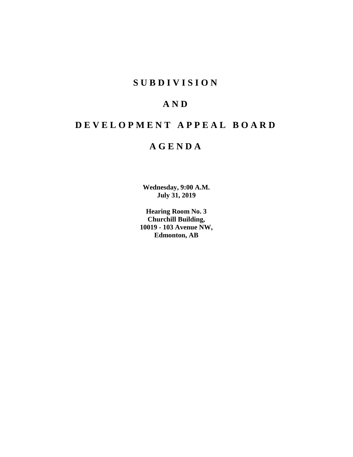## **SUBDIVISION**

## **AND**

# **DEVELOPMENT APPEAL BOARD**

## **AGENDA**

**Wednesday, 9:00 A.M. July 31, 2019**

**Hearing Room No. 3 Churchill Building, 10019 - 103 Avenue NW, Edmonton, AB**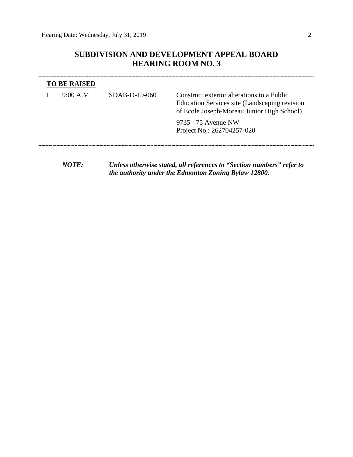## **SUBDIVISION AND DEVELOPMENT APPEAL BOARD HEARING ROOM NO. 3**

| <b>TO BE RAISED</b> |                 |                                                                                                                                           |  |
|---------------------|-----------------|-------------------------------------------------------------------------------------------------------------------------------------------|--|
| 9:00 A.M.           | $SDAB-D-19-060$ | Construct exterior alterations to a Public<br>Education Services site (Landscaping revision<br>of Ecole Joseph-Moreau Junior High School) |  |
|                     |                 | 9735 - 75 Avenue NW<br>Project No.: 262704257-020                                                                                         |  |
|                     |                 |                                                                                                                                           |  |

*NOTE: Unless otherwise stated, all references to "Section numbers" refer to the authority under the Edmonton Zoning Bylaw 12800.*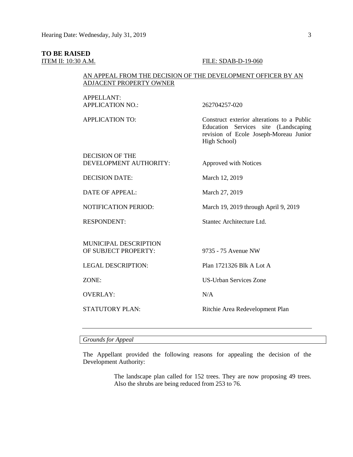#### **TO BE RAISED**

### **ITEM II: 10:30 A.M. FILE: SDAB-D-19-060**

## AN APPEAL FROM THE DECISION OF THE DEVELOPMENT OFFICER BY AN ADJACENT PROPERTY OWNER

| <b>APPELLANT:</b><br><b>APPLICATION NO.:</b>         | 262704257-020                                                                                                                                |
|------------------------------------------------------|----------------------------------------------------------------------------------------------------------------------------------------------|
| <b>APPLICATION TO:</b>                               | Construct exterior alterations to a Public<br>Education Services site (Landscaping<br>revision of Ecole Joseph-Moreau Junior<br>High School) |
| <b>DECISION OF THE</b><br>DEVELOPMENT AUTHORITY:     | <b>Approved with Notices</b>                                                                                                                 |
| <b>DECISION DATE:</b>                                | March 12, 2019                                                                                                                               |
| DATE OF APPEAL:                                      | March 27, 2019                                                                                                                               |
| <b>NOTIFICATION PERIOD:</b>                          | March 19, 2019 through April 9, 2019                                                                                                         |
| <b>RESPONDENT:</b>                                   | Stantec Architecture Ltd.                                                                                                                    |
| <b>MUNICIPAL DESCRIPTION</b><br>OF SUBJECT PROPERTY: | 9735 - 75 Avenue NW                                                                                                                          |
| <b>LEGAL DESCRIPTION:</b>                            | Plan 1721326 Blk A Lot A                                                                                                                     |
| ZONE:                                                | <b>US-Urban Services Zone</b>                                                                                                                |
| <b>OVERLAY:</b>                                      | N/A                                                                                                                                          |
| <b>STATUTORY PLAN:</b>                               | Ritchie Area Redevelopment Plan                                                                                                              |

## *Grounds for Appeal*

The Appellant provided the following reasons for appealing the decision of the Development Authority:

> The landscape plan called for 152 trees. They are now proposing 49 trees. Also the shrubs are being reduced from 253 to 76.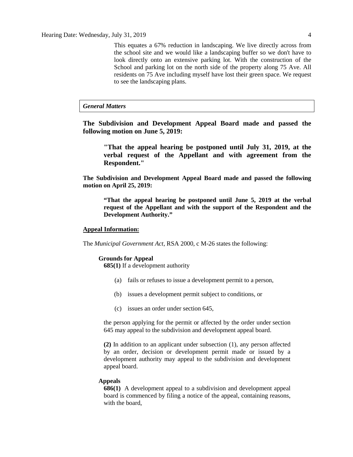This equates a 67% reduction in landscaping. We live directly across from the school site and we would like a landscaping buffer so we don't have to look directly onto an extensive parking lot. With the construction of the School and parking lot on the north side of the property along 75 Ave. All residents on 75 Ave including myself have lost their green space. We request to see the landscaping plans.

## *General Matters*

**The Subdivision and Development Appeal Board made and passed the following motion on June 5, 2019:** 

**"That the appeal hearing be postponed until July 31, 2019, at the verbal request of the Appellant and with agreement from the Respondent."**

**The Subdivision and Development Appeal Board made and passed the following motion on April 25, 2019:**

**"That the appeal hearing be postponed until June 5, 2019 at the verbal request of the Appellant and with the support of the Respondent and the Development Authority."**

#### **Appeal Information:**

The *Municipal Government Act*, RSA 2000, c M-26 states the following:

#### **Grounds for Appeal**

**685(1)** If a development authority

- (a) fails or refuses to issue a development permit to a person,
- (b) issues a development permit subject to conditions, or
- (c) issues an order under section 645,

the person applying for the permit or affected by the order under section 645 may appeal to the subdivision and development appeal board.

**(2)** In addition to an applicant under subsection (1), any person affected by an order, decision or development permit made or issued by a development authority may appeal to the subdivision and development appeal board.

#### **Appeals**

**686(1)** A development appeal to a subdivision and development appeal board is commenced by filing a notice of the appeal, containing reasons, with the board,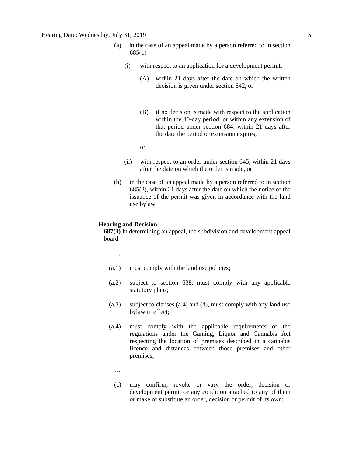- (a) in the case of an appeal made by a person referred to in section 685(1)
	- (i) with respect to an application for a development permit,
		- (A) within 21 days after the date on which the written decision is given under section 642, or
		- (B) if no decision is made with respect to the application within the 40-day period, or within any extension of that period under section 684, within 21 days after the date the period or extension expires,

or

- (ii) with respect to an order under section 645, within 21 days after the date on which the order is made, or
- (b) in the case of an appeal made by a person referred to in section 685(2), within 21 days after the date on which the notice of the issuance of the permit was given in accordance with the land use bylaw.

#### **Hearing and Decision**

**687(3)** In determining an appeal, the subdivision and development appeal board

…

- (a.1) must comply with the land use policies;
- (a.2) subject to section 638, must comply with any applicable statutory plans;
- (a.3) subject to clauses (a.4) and (d), must comply with any land use bylaw in effect;
- (a.4) must comply with the applicable requirements of the regulations under the Gaming, Liquor and Cannabis Act respecting the location of premises described in a cannabis licence and distances between those premises and other premises;
	- …
	- (c) may confirm, revoke or vary the order, decision or development permit or any condition attached to any of them or make or substitute an order, decision or permit of its own;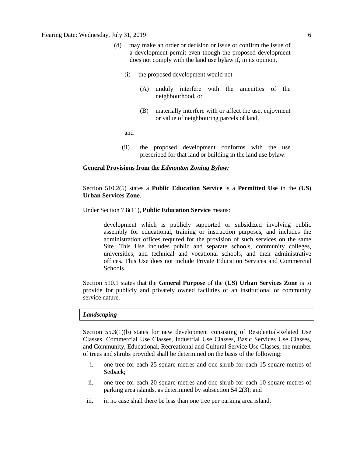- (d) may make an order or decision or issue or confirm the issue of a development permit even though the proposed development does not comply with the land use bylaw if, in its opinion,
	- (i) the proposed development would not
		- (A) unduly interfere with the amenities of the neighbourhood, or
		- (B) materially interfere with or affect the use, enjoyment or value of neighbouring parcels of land,

and

(ii) the proposed development conforms with the use prescribed for that land or building in the land use bylaw.

### **General Provisions from the** *Edmonton Zoning Bylaw:*

Section 510.2(5) states a **Public Education Service** is a **Permitted Use** in the **(US) Urban Services Zone**.

#### Under Section 7.8(11), **Public Education Service** means:

development which is publicly supported or subsidized involving public assembly for educational, training or instruction purposes, and includes the administration offices required for the provision of such services on the same Site. This Use includes public and separate schools, community colleges, universities, and technical and vocational schools, and their administrative offices. This Use does not include Private Education Services and Commercial Schools.

Section 510.1 states that the **General Purpose** of the **(US) Urban Services Zone** is to provide for publicly and privately owned facilities of an institutional or community service nature.

#### *Landscaping*

Section 55.3(1)(b) states for new development consisting of Residential-Related Use Classes, Commercial Use Classes, Industrial Use Classes, Basic Services Use Classes, and Community, Educational, Recreational and Cultural Service Use Classes, the number of trees and shrubs provided shall be determined on the basis of the following:

- i. one tree for each 25 square metres and one shrub for each 15 square metres of Setback;
- ii. one tree for each 20 square metres and one shrub for each 10 square metres of parking area islands, as determined by subsection 54.2(3); and
- iii. in no case shall there be less than one tree per parking area island.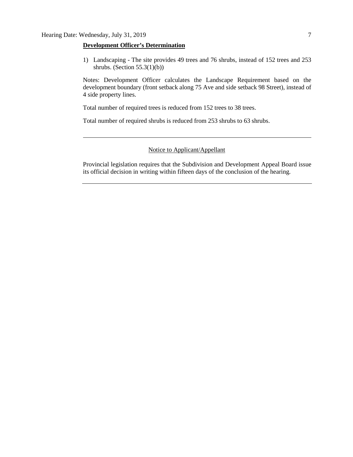### **Development Officer's Determination**

1) Landscaping - The site provides 49 trees and 76 shrubs, instead of 152 trees and 253 shrubs. (Section  $55.3(1)(b)$ )

Notes: Development Officer calculates the Landscape Requirement based on the development boundary (front setback along 75 Ave and side setback 98 Street), instead of 4 side property lines.

Total number of required trees is reduced from 152 trees to 38 trees.

Total number of required shrubs is reduced from 253 shrubs to 63 shrubs.

## Notice to Applicant/Appellant

Provincial legislation requires that the Subdivision and Development Appeal Board issue its official decision in writing within fifteen days of the conclusion of the hearing.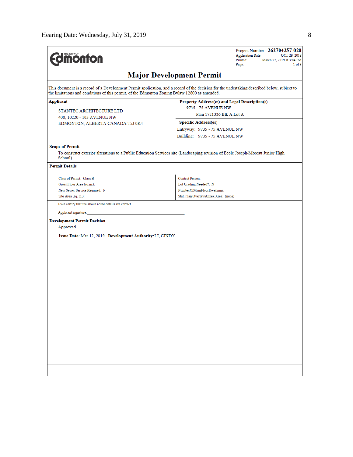| <b><i><u><u><b>MONTON</b></u></u></i></b>                                                                                                                                                                                                    | Project Number: 262704257-020<br><b>Application Date:</b><br>OCT 29, 2018<br>Printed:<br>March 27, 2019 at 3:04 PM<br>Page:<br>1 of 3 |  |  |  |  |  |  |
|----------------------------------------------------------------------------------------------------------------------------------------------------------------------------------------------------------------------------------------------|---------------------------------------------------------------------------------------------------------------------------------------|--|--|--|--|--|--|
| <b>Major Development Permit</b>                                                                                                                                                                                                              |                                                                                                                                       |  |  |  |  |  |  |
| This document is a record of a Development Permit application, and a record of the decision for the undertaking described below, subject to<br>the limitations and conditions of this permit, of the Edmonton Zoning Bylaw 12800 as amended. |                                                                                                                                       |  |  |  |  |  |  |
| Applicant                                                                                                                                                                                                                                    | Property Address(es) and Legal Description(s)                                                                                         |  |  |  |  |  |  |
| STANTEC ARCHITECTURE LTD                                                                                                                                                                                                                     | 9735 - 75 AVENUE NW                                                                                                                   |  |  |  |  |  |  |
| 400, 10220 - 103 AVENUE NW                                                                                                                                                                                                                   | Plan 1721326 Blk A Lot A                                                                                                              |  |  |  |  |  |  |
| EDMONTON, ALBERTA CANADA T5J 0K4                                                                                                                                                                                                             | <b>Specific Address(es)</b>                                                                                                           |  |  |  |  |  |  |
|                                                                                                                                                                                                                                              | Entryway: 9735 - 75 AVENUE NW                                                                                                         |  |  |  |  |  |  |
|                                                                                                                                                                                                                                              | Building: 9735 - 75 AVENUE NW                                                                                                         |  |  |  |  |  |  |
| <b>Scope of Permit</b>                                                                                                                                                                                                                       |                                                                                                                                       |  |  |  |  |  |  |
| School).                                                                                                                                                                                                                                     | To construct exterior alterations to a Public Education Services site (Landscaping revision of Ecole Joseph-Moreau Junior High        |  |  |  |  |  |  |
| <b>Permit Details</b>                                                                                                                                                                                                                        |                                                                                                                                       |  |  |  |  |  |  |
| Class of Permit: Class B                                                                                                                                                                                                                     | <b>Contact Person:</b>                                                                                                                |  |  |  |  |  |  |
| Gross Floor Area (sq.m.):                                                                                                                                                                                                                    | Lot Grading Needed?: N                                                                                                                |  |  |  |  |  |  |
| New Sewer Service Required: N                                                                                                                                                                                                                | NumberOfMainFloorDwellings:                                                                                                           |  |  |  |  |  |  |
| Site Area (sq. m.):                                                                                                                                                                                                                          | Stat. Plan Overlay/Annex Area: (none)                                                                                                 |  |  |  |  |  |  |
| I/We certify that the above noted details are correct.                                                                                                                                                                                       |                                                                                                                                       |  |  |  |  |  |  |
| Applicant signature:                                                                                                                                                                                                                         |                                                                                                                                       |  |  |  |  |  |  |
| <b>Development Permit Decision</b>                                                                                                                                                                                                           |                                                                                                                                       |  |  |  |  |  |  |
| Approved                                                                                                                                                                                                                                     |                                                                                                                                       |  |  |  |  |  |  |
| Issue Date: Mar 12, 2019 Development Authority: LI, CINDY                                                                                                                                                                                    |                                                                                                                                       |  |  |  |  |  |  |
|                                                                                                                                                                                                                                              |                                                                                                                                       |  |  |  |  |  |  |
|                                                                                                                                                                                                                                              |                                                                                                                                       |  |  |  |  |  |  |
|                                                                                                                                                                                                                                              |                                                                                                                                       |  |  |  |  |  |  |
|                                                                                                                                                                                                                                              |                                                                                                                                       |  |  |  |  |  |  |
|                                                                                                                                                                                                                                              |                                                                                                                                       |  |  |  |  |  |  |
|                                                                                                                                                                                                                                              |                                                                                                                                       |  |  |  |  |  |  |
|                                                                                                                                                                                                                                              |                                                                                                                                       |  |  |  |  |  |  |
|                                                                                                                                                                                                                                              |                                                                                                                                       |  |  |  |  |  |  |
|                                                                                                                                                                                                                                              |                                                                                                                                       |  |  |  |  |  |  |
|                                                                                                                                                                                                                                              |                                                                                                                                       |  |  |  |  |  |  |
|                                                                                                                                                                                                                                              |                                                                                                                                       |  |  |  |  |  |  |
|                                                                                                                                                                                                                                              |                                                                                                                                       |  |  |  |  |  |  |
|                                                                                                                                                                                                                                              |                                                                                                                                       |  |  |  |  |  |  |
|                                                                                                                                                                                                                                              |                                                                                                                                       |  |  |  |  |  |  |
|                                                                                                                                                                                                                                              |                                                                                                                                       |  |  |  |  |  |  |
|                                                                                                                                                                                                                                              |                                                                                                                                       |  |  |  |  |  |  |
|                                                                                                                                                                                                                                              |                                                                                                                                       |  |  |  |  |  |  |
|                                                                                                                                                                                                                                              |                                                                                                                                       |  |  |  |  |  |  |
|                                                                                                                                                                                                                                              |                                                                                                                                       |  |  |  |  |  |  |
|                                                                                                                                                                                                                                              |                                                                                                                                       |  |  |  |  |  |  |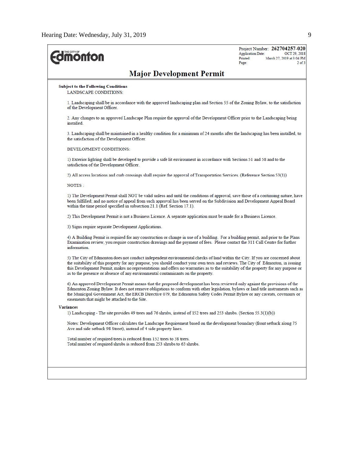| <b><i><u><b>MONTON</b></u></i></b>                                                                                                                                                                                                                                                                                                                                                                                                                                                            | Project Number: 262704257-020<br><b>Application Date:</b><br>OCT 29, 2018<br>Printed:<br>March 27, 2019 at 3:04 PM<br>$2$ of $3$<br>Page: |  |  |  |  |  |  |
|-----------------------------------------------------------------------------------------------------------------------------------------------------------------------------------------------------------------------------------------------------------------------------------------------------------------------------------------------------------------------------------------------------------------------------------------------------------------------------------------------|-------------------------------------------------------------------------------------------------------------------------------------------|--|--|--|--|--|--|
| <b>Major Development Permit</b>                                                                                                                                                                                                                                                                                                                                                                                                                                                               |                                                                                                                                           |  |  |  |  |  |  |
| <b>Subject to the Following Conditions</b><br>LANDSCAPE CONDITIONS:                                                                                                                                                                                                                                                                                                                                                                                                                           |                                                                                                                                           |  |  |  |  |  |  |
| 1. Landscaping shall be in accordance with the approved landscaping plan and Section 55 of the Zoning Bylaw, to the satisfaction<br>of the Development Officer.                                                                                                                                                                                                                                                                                                                               |                                                                                                                                           |  |  |  |  |  |  |
| 2. Any changes to an approved Landscape Plan require the approval of the Development Officer prior to the Landscaping being<br>installed                                                                                                                                                                                                                                                                                                                                                      |                                                                                                                                           |  |  |  |  |  |  |
| 3. Landscaping shall be maintained in a healthy condition for a minimum of 24 months after the landscaping has been installed, to<br>the satisfaction of the Development Officer.                                                                                                                                                                                                                                                                                                             |                                                                                                                                           |  |  |  |  |  |  |
| DEVELOPMENT CONDITIONS:                                                                                                                                                                                                                                                                                                                                                                                                                                                                       |                                                                                                                                           |  |  |  |  |  |  |
| 1) Exterior lighting shall be developed to provide a safe lit environment in accordance with Sections 51 and 58 and to the<br>satisfaction of the Development Officer.                                                                                                                                                                                                                                                                                                                        |                                                                                                                                           |  |  |  |  |  |  |
|                                                                                                                                                                                                                                                                                                                                                                                                                                                                                               | 2) All access locations and curb crossings shall require the approval of Transportation Services. (Reference Section 53(1))               |  |  |  |  |  |  |
| NOTES :                                                                                                                                                                                                                                                                                                                                                                                                                                                                                       |                                                                                                                                           |  |  |  |  |  |  |
| 1) The Development Permit shall NOT be valid unless and until the conditions of approval, save those of a continuing nature, have<br>been fulfilled; and no notice of appeal from such approval has been served on the Subdivision and Development Appeal Board<br>within the time period specified in subsection 21.1 (Ref. Section 17.1).                                                                                                                                                   |                                                                                                                                           |  |  |  |  |  |  |
| 2) This Development Permit is not a Business Licence. A separate application must be made for a Business Licence.                                                                                                                                                                                                                                                                                                                                                                             |                                                                                                                                           |  |  |  |  |  |  |
| 3) Signs require separate Development Applications.                                                                                                                                                                                                                                                                                                                                                                                                                                           |                                                                                                                                           |  |  |  |  |  |  |
| 4) A Building Permit is required for any construction or change in use of a building. For a building permit, and prior to the Plans<br>Examination review, you require construction drawings and the payment of fees. Please contact the 311 Call Centre for further<br>information.                                                                                                                                                                                                          |                                                                                                                                           |  |  |  |  |  |  |
| 5) The City of Edmonton does not conduct independent environmental checks of land within the City. If you are concerned about<br>the suitability of this property for any purpose, you should conduct your own tests and reviews. The City of Edmonton, in issuing<br>this Development Permit, makes no representations and offers no warranties as to the suitability of the property for any purpose or<br>as to the presence or absence of any environmental contaminants on the property. |                                                                                                                                           |  |  |  |  |  |  |
| 6) An approved Development Permit means that the proposed development has been reviewed only against the provisions of the<br>Edmonton Zoning Bylaw. It does not remove obligations to conform with other legislation, bylaws or land title instruments such as<br>the Municipal Government Act, the ERCB Directive 079, the Edmonton Safety Codes Permit Bylaw or any caveats, covenants or<br>easements that might be attached to the Site.                                                 |                                                                                                                                           |  |  |  |  |  |  |
| <b>Variances</b>                                                                                                                                                                                                                                                                                                                                                                                                                                                                              |                                                                                                                                           |  |  |  |  |  |  |
| 1) Landscaping - The site provides 49 trees and 76 shrubs, instead of 152 trees and 253 shrubs. (Section 55.3(1)(b))                                                                                                                                                                                                                                                                                                                                                                          |                                                                                                                                           |  |  |  |  |  |  |
| Ave and side setback 98 Street), instead of 4 side property lines.                                                                                                                                                                                                                                                                                                                                                                                                                            | Notes: Development Officer calculates the Landscape Requirement based on the development boundary (front setback along 75                 |  |  |  |  |  |  |
| Total number of required trees is reduced from 152 trees to 38 trees.<br>Total number of required shrubs is reduced from 253 shrubs to 63 shrubs.                                                                                                                                                                                                                                                                                                                                             |                                                                                                                                           |  |  |  |  |  |  |
|                                                                                                                                                                                                                                                                                                                                                                                                                                                                                               |                                                                                                                                           |  |  |  |  |  |  |
|                                                                                                                                                                                                                                                                                                                                                                                                                                                                                               |                                                                                                                                           |  |  |  |  |  |  |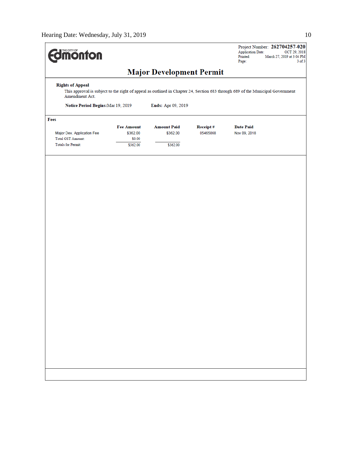| <b>Imonton</b>                                                                                                                                                                                                                          |                                                     |                                            |                      | Project Number: 262704257-020<br><b>Application Date:</b><br>OCT 29, 2018<br>Printed:<br>March 27, 2019 at 3:04 PM<br>Page:<br>$3$ of $3$ |  |  |  |  |  |
|-----------------------------------------------------------------------------------------------------------------------------------------------------------------------------------------------------------------------------------------|-----------------------------------------------------|--------------------------------------------|----------------------|-------------------------------------------------------------------------------------------------------------------------------------------|--|--|--|--|--|
| <b>Major Development Permit</b>                                                                                                                                                                                                         |                                                     |                                            |                      |                                                                                                                                           |  |  |  |  |  |
| <b>Rights of Appeal</b><br>This approval is subject to the right of appeal as outlined in Chapter 24, Section 683 through 689 of the Municipal Government<br>Amendment Act.<br>Notice Period Begins: Mar 19, 2019<br>Ends: Apr 09, 2019 |                                                     |                                            |                      |                                                                                                                                           |  |  |  |  |  |
| Fees                                                                                                                                                                                                                                    |                                                     |                                            |                      |                                                                                                                                           |  |  |  |  |  |
| Major Dev. Application Fee<br><b>Total GST Amount:</b><br>Totals for Permit:                                                                                                                                                            | <b>Fee Amount</b><br>\$362.00<br>\$0.00<br>\$362.00 | <b>Amount Paid</b><br>\$362.00<br>\$362.00 | Receipt#<br>05465868 | <b>Date Paid</b><br>Nov 09, 2018                                                                                                          |  |  |  |  |  |
|                                                                                                                                                                                                                                         |                                                     |                                            |                      |                                                                                                                                           |  |  |  |  |  |
|                                                                                                                                                                                                                                         |                                                     |                                            |                      |                                                                                                                                           |  |  |  |  |  |
|                                                                                                                                                                                                                                         |                                                     |                                            |                      |                                                                                                                                           |  |  |  |  |  |
|                                                                                                                                                                                                                                         |                                                     |                                            |                      |                                                                                                                                           |  |  |  |  |  |
|                                                                                                                                                                                                                                         |                                                     |                                            |                      |                                                                                                                                           |  |  |  |  |  |
|                                                                                                                                                                                                                                         |                                                     |                                            |                      |                                                                                                                                           |  |  |  |  |  |
|                                                                                                                                                                                                                                         |                                                     |                                            |                      |                                                                                                                                           |  |  |  |  |  |
|                                                                                                                                                                                                                                         |                                                     |                                            |                      |                                                                                                                                           |  |  |  |  |  |
|                                                                                                                                                                                                                                         |                                                     |                                            |                      |                                                                                                                                           |  |  |  |  |  |
|                                                                                                                                                                                                                                         |                                                     |                                            |                      |                                                                                                                                           |  |  |  |  |  |
|                                                                                                                                                                                                                                         |                                                     |                                            |                      |                                                                                                                                           |  |  |  |  |  |
|                                                                                                                                                                                                                                         |                                                     |                                            |                      |                                                                                                                                           |  |  |  |  |  |
|                                                                                                                                                                                                                                         |                                                     |                                            |                      |                                                                                                                                           |  |  |  |  |  |